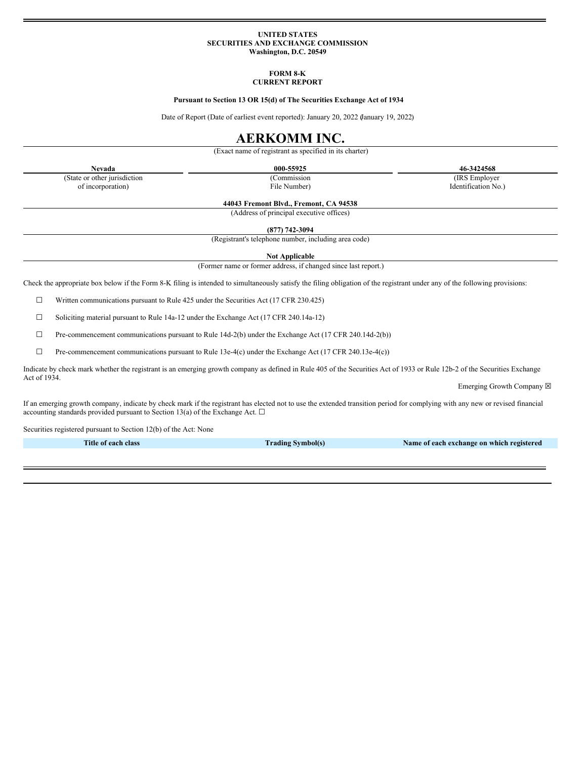## **UNITED STATES SECURITIES AND EXCHANGE COMMISSION Washington, D.C. 20549**

# **FORM 8-K CURRENT REPORT**

## **Pursuant to Section 13 OR 15(d) of The Securities Exchange Act of 1934**

Date of Report (Date of earliest event reported): January 20, 2022 (January 19, 2022)

# **AERKOMM INC.**

(Exact name of registrant as specified in its charter)

(Commission File Number)

**Nevada 000-55925 46-3424568** (IRS Employer Identification No.)

(State or other jurisdiction of incorporation)

**44043 Fremont Blvd., Fremont, CA 94538**

(Address of principal executive offices)

**(877) 742-3094**

(Registrant's telephone number, including area code)

**Not Applicable**

(Former name or former address, if changed since last report.)

Check the appropriate box below if the Form 8-K filing is intended to simultaneously satisfy the filing obligation of the registrant under any of the following provisions:

☐ Written communications pursuant to Rule 425 under the Securities Act (17 CFR 230.425)

☐ Soliciting material pursuant to Rule 14a-12 under the Exchange Act (17 CFR 240.14a-12)

 $\Box$  Pre-commencement communications pursuant to Rule 14d-2(b) under the Exchange Act (17 CFR 240.14d-2(b))

☐ Pre-commencement communications pursuant to Rule 13e-4(c) under the Exchange Act (17 CFR 240.13e-4(c))

Indicate by check mark whether the registrant is an emerging growth company as defined in Rule 405 of the Securities Act of 1933 or Rule 12b-2 of the Securities Exchange Act of 1934.

Emerging Growth Company  $\boxtimes$ 

If an emerging growth company, indicate by check mark if the registrant has elected not to use the extended transition period for complying with any new or revised financial accounting standards provided pursuant to Section 13(a) of the Exchange Act.  $\Box$ 

Securities registered pursuant to Section 12(b) of the Act: None

**Title of each class Trading Symbol(s) Name of each exchange on which registered**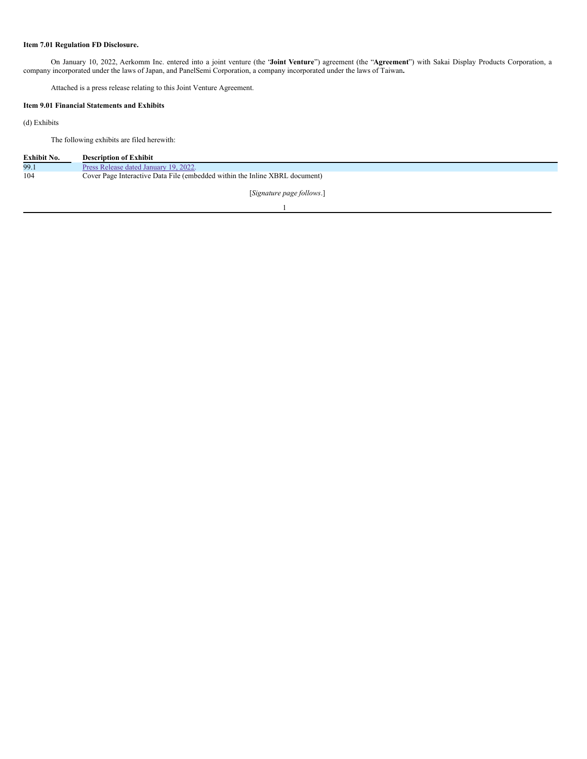# **Item 7.01 Regulation FD Disclosure.**

On January 10, 2022, Aerkomm Inc. entered into a joint venture (the "**Joint Venture**") agreement (the "**Agreement**") with Sakai Display Products Corporation, a company incorporated under the laws of Japan, and PanelSemi Corporation, a company incorporated under the laws of Taiwan**.**

Attached is a press release relating to this Joint Venture Agreement.

# **Item 9.01 Financial Statements and Exhibits**

(d) Exhibits

The following exhibits are filed herewith:

| Exhibit No. | <b>Description of Exhibit</b>                                               |
|-------------|-----------------------------------------------------------------------------|
| 99.1        | Press Release dated January 19, 2022.                                       |
| 104         | Cover Page Interactive Data File (embedded within the Inline XBRL document) |
|             | [Signature page follows.]                                                   |

1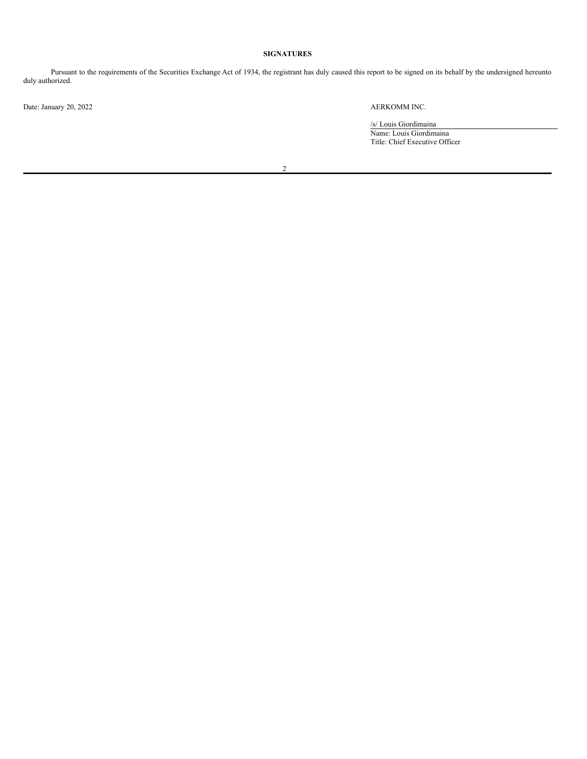# **SIGNATURES**

Pursuant to the requirements of the Securities Exchange Act of 1934, the registrant has duly caused this report to be signed on its behalf by the undersigned hereunto duly authorized.

Date: January 20, 2022 AERKOMM INC.

/s/ Louis Giordimaina Name: Louis Giordimaina Title: Chief Executive Officer

2